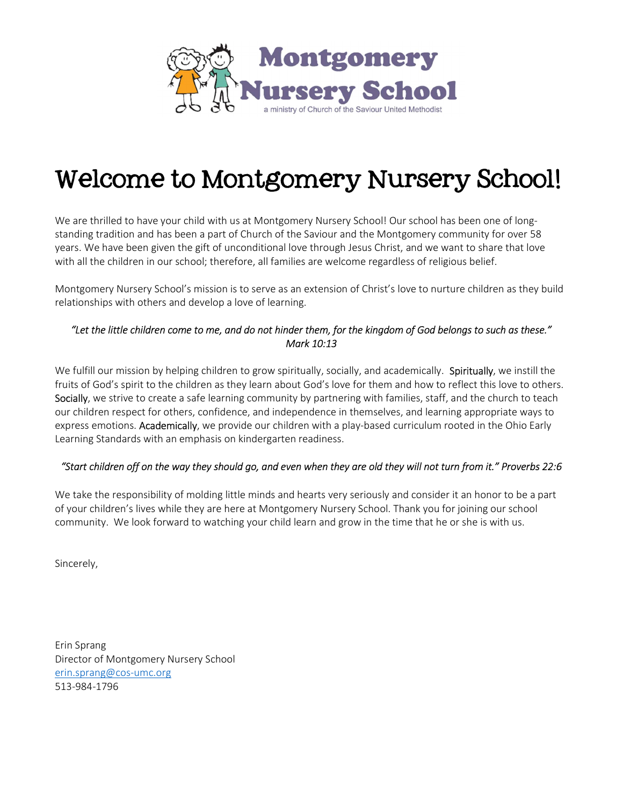

# Welcome to Montgomery Nursery School!

We are thrilled to have your child with us at Montgomery Nursery School! Our school has been one of longstanding tradition and has been a part of Church of the Saviour and the Montgomery community for over 58 years. We have been given the gift of unconditional love through Jesus Christ, and we want to share that love with all the children in our school; therefore, all families are welcome regardless of religious belief.

Montgomery Nursery School's mission is to serve as an extension of Christ's love to nurture children as they build relationships with others and develop a love of learning.

### "Let the little children come to me, and do not hinder them, for the kingdom of God belongs to such as these." Mark 10:13

We fulfill our mission by helping children to grow spiritually, socially, and academically. Spiritually, we instill the fruits of God's spirit to the children as they learn about God's love for them and how to reflect this love to others. Socially, we strive to create a safe learning community by partnering with families, staff, and the church to teach our children respect for others, confidence, and independence in themselves, and learning appropriate ways to express emotions. Academically, we provide our children with a play-based curriculum rooted in the Ohio Early Learning Standards with an emphasis on kindergarten readiness.

### "Start children off on the way they should go, and even when they are old they will not turn from it." Proverbs 22:6

We take the responsibility of molding little minds and hearts very seriously and consider it an honor to be a part of your children's lives while they are here at Montgomery Nursery School. Thank you for joining our school community. We look forward to watching your child learn and grow in the time that he or she is with us.

Sincerely,

Erin Sprang Director of Montgomery Nursery School erin.sprang@cos-umc.org 513-984-1796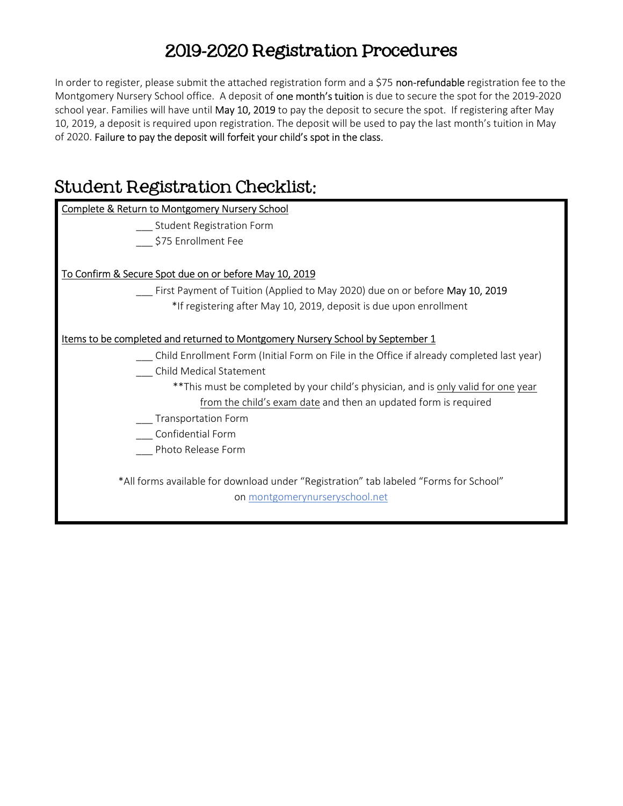# 2019-2020 Registration Procedures

In order to register, please submit the attached registration form and a \$75 non-refundable registration fee to the Montgomery Nursery School office. A deposit of one month's tuition is due to secure the spot for the 2019-2020 school year. Families will have until May 10, 2019 to pay the deposit to secure the spot. If registering after May 10, 2019, a deposit is required upon registration. The deposit will be used to pay the last month's tuition in May of 2020. Failure to pay the deposit will forfeit your child's spot in the class.

# Student Registration Checklist:

| <b>Complete &amp; Return to Montgomery Nursery School</b>                                 |  |  |  |  |
|-------------------------------------------------------------------------------------------|--|--|--|--|
| Student Registration Form                                                                 |  |  |  |  |
| \$75 Enrollment Fee                                                                       |  |  |  |  |
|                                                                                           |  |  |  |  |
| To Confirm & Secure Spot due on or before May 10, 2019                                    |  |  |  |  |
| First Payment of Tuition (Applied to May 2020) due on or before May 10, 2019              |  |  |  |  |
| *If registering after May 10, 2019, deposit is due upon enrollment                        |  |  |  |  |
|                                                                                           |  |  |  |  |
| Items to be completed and returned to Montgomery Nursery School by September 1            |  |  |  |  |
| Child Enrollment Form (Initial Form on File in the Office if already completed last year) |  |  |  |  |
| Child Medical Statement                                                                   |  |  |  |  |
| **This must be completed by your child's physician, and is only valid for one year        |  |  |  |  |
| from the child's exam date and then an updated form is required                           |  |  |  |  |
| <b>Transportation Form</b>                                                                |  |  |  |  |
| Confidential Form                                                                         |  |  |  |  |
| Photo Release Form                                                                        |  |  |  |  |
|                                                                                           |  |  |  |  |
| *All forms available for download under "Registration" tab labeled "Forms for School"     |  |  |  |  |
| on montgomerynurseryschool.net                                                            |  |  |  |  |
|                                                                                           |  |  |  |  |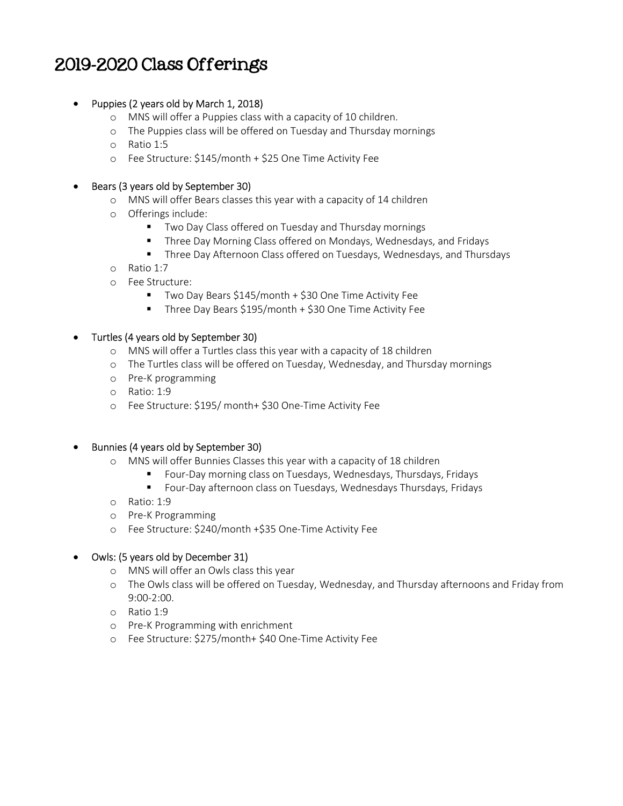## 2019-2020 Class Offerings

#### • Puppies (2 years old by March 1, 2018)

- o MNS will offer a Puppies class with a capacity of 10 children.
- o The Puppies class will be offered on Tuesday and Thursday mornings
- o Ratio 1:5
- o Fee Structure: \$145/month + \$25 One Time Activity Fee

#### Bears (3 years old by September 30)

- o MNS will offer Bears classes this year with a capacity of 14 children
- o Offerings include:
	- **TWO Day Class offered on Tuesday and Thursday mornings**
	- **Three Day Morning Class offered on Mondays, Wednesdays, and Fridays**
	- Three Day Afternoon Class offered on Tuesdays, Wednesdays, and Thursdays
- o Ratio 1:7
- o Fee Structure:
	- Two Day Bears \$145/month + \$30 One Time Activity Fee
	- Three Day Bears \$195/month + \$30 One Time Activity Fee

#### Turtles (4 years old by September 30)

- o MNS will offer a Turtles class this year with a capacity of 18 children
- o The Turtles class will be offered on Tuesday, Wednesday, and Thursday mornings
- o Pre-K programming
- o Ratio: 1:9
- o Fee Structure: \$195/ month+ \$30 One-Time Activity Fee

#### Bunnies (4 years old by September 30)

- o MNS will offer Bunnies Classes this year with a capacity of 18 children
	- Four-Day morning class on Tuesdays, Wednesdays, Thursdays, Fridays
	- Four-Day afternoon class on Tuesdays, Wednesdays Thursdays, Fridays
- o Ratio: 1:9
- o Pre-K Programming
- o Fee Structure: \$240/month +\$35 One-Time Activity Fee

#### Owls: (5 years old by December 31)

- o MNS will offer an Owls class this year
- o The Owls class will be offered on Tuesday, Wednesday, and Thursday afternoons and Friday from 9:00-2:00.
- o Ratio 1:9
- o Pre-K Programming with enrichment
- o Fee Structure: \$275/month+ \$40 One-Time Activity Fee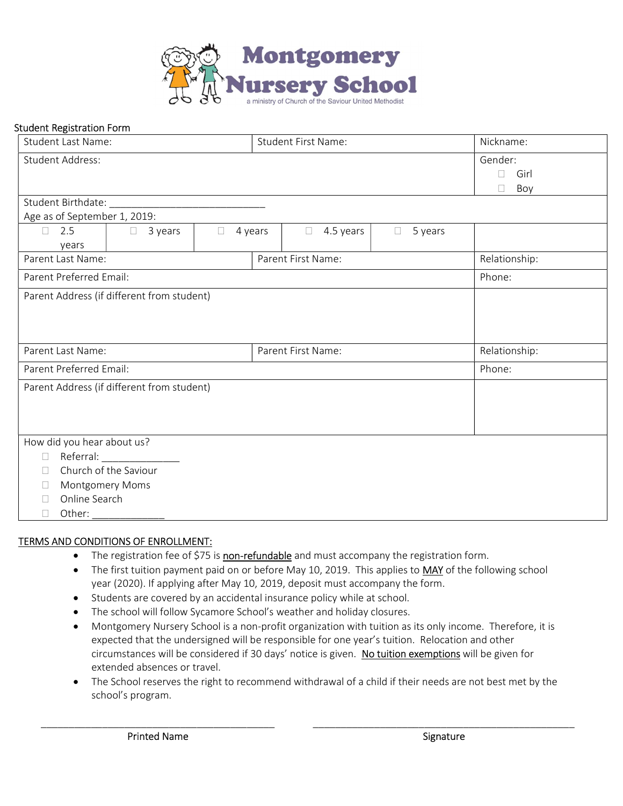

#### Student Registration Form

| <b>Student Last Name:</b>                         |                   | <b>Student First Name:</b> |               |                     | Nickname:         |           |
|---------------------------------------------------|-------------------|----------------------------|---------------|---------------------|-------------------|-----------|
| <b>Student Address:</b>                           |                   |                            |               | Gender:             |                   |           |
|                                                   |                   |                            |               |                     |                   | Girl<br>П |
|                                                   |                   |                            |               |                     |                   | Boy<br>П  |
| Student Birthdate:                                |                   |                            |               |                     |                   |           |
| Age as of September 1, 2019:                      |                   |                            |               |                     |                   |           |
| 2.5<br>П.                                         | 3 years<br>$\Box$ | $\Box$                     | 4 years       | 4.5 years<br>$\Box$ | 5 years<br>$\Box$ |           |
| years                                             |                   |                            |               |                     |                   |           |
| Parent First Name:<br>Parent Last Name:           |                   |                            | Relationship: |                     |                   |           |
| Parent Preferred Email:                           |                   |                            |               |                     |                   | Phone:    |
| Parent Address (if different from student)        |                   |                            |               |                     |                   |           |
|                                                   |                   |                            |               |                     |                   |           |
|                                                   |                   |                            |               |                     |                   |           |
|                                                   |                   |                            |               |                     |                   |           |
| Parent Last Name:<br>Parent First Name:           |                   |                            | Relationship: |                     |                   |           |
| Parent Preferred Email:                           |                   |                            |               | Phone:              |                   |           |
| Parent Address (if different from student)        |                   |                            |               |                     |                   |           |
|                                                   |                   |                            |               |                     |                   |           |
|                                                   |                   |                            |               |                     |                   |           |
|                                                   |                   |                            |               |                     |                   |           |
| How did you hear about us?<br>Referral:<br>$\Box$ |                   |                            |               |                     |                   |           |
| Church of the Saviour<br>П                        |                   |                            |               |                     |                   |           |
| Montgomery Moms<br>П                              |                   |                            |               |                     |                   |           |
| Online Search<br>П                                |                   |                            |               |                     |                   |           |
| П                                                 |                   |                            |               |                     |                   |           |
|                                                   | Other:            |                            |               |                     |                   |           |

#### TERMS AND CONDITIONS OF ENROLLMENT:

- The registration fee of \$75 is non-refundable and must accompany the registration form.
- The first tuition payment paid on or before May 10, 2019. This applies to MAY of the following school year (2020). If applying after May 10, 2019, deposit must accompany the form.
- Students are covered by an accidental insurance policy while at school.
- The school will follow Sycamore School's weather and holiday closures.
- Montgomery Nursery School is a non-profit organization with tuition as its only income. Therefore, it is expected that the undersigned will be responsible for one year's tuition. Relocation and other circumstances will be considered if 30 days' notice is given. No tuition exemptions will be given for extended absences or travel.
- The School reserves the right to recommend withdrawal of a child if their needs are not best met by the school's program.

\_\_\_\_\_\_\_\_\_\_\_\_\_\_\_\_\_\_\_\_\_\_\_\_\_\_\_\_\_\_\_\_\_\_\_\_\_\_\_\_\_\_ \_\_\_\_\_\_\_\_\_\_\_\_\_\_\_\_\_\_\_\_\_\_\_\_\_\_\_\_\_\_\_\_\_\_\_\_\_\_\_\_\_\_\_\_\_\_\_